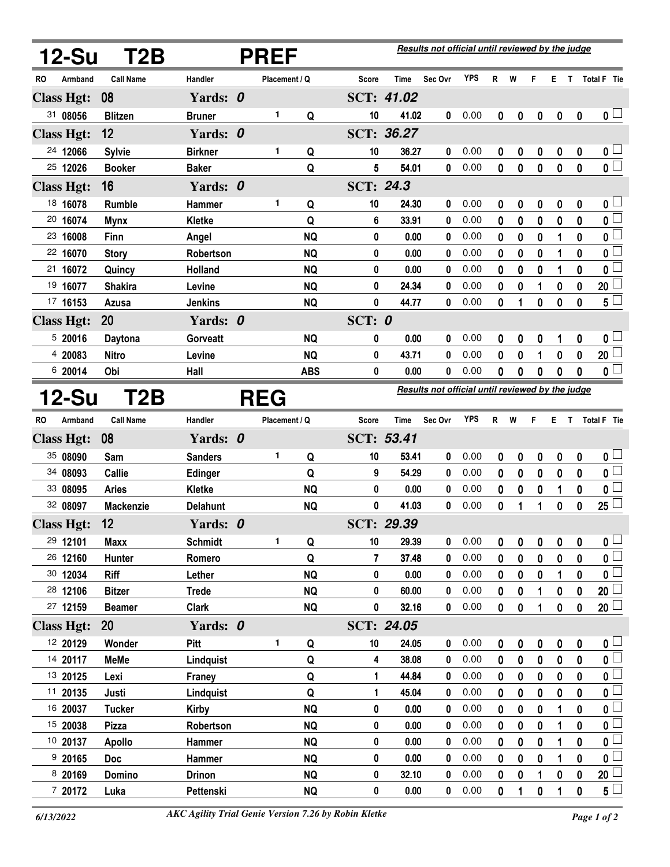|           | 12-Su             | T2B              | <b>PREF</b>     |  |               |            |              | Results not official until reviewed by the judge |                                                  |            |              |             |             |                  |              |                         |  |
|-----------|-------------------|------------------|-----------------|--|---------------|------------|--------------|--------------------------------------------------|--------------------------------------------------|------------|--------------|-------------|-------------|------------------|--------------|-------------------------|--|
| RO        | Armband           | <b>Call Name</b> | Handler         |  | Placement / Q |            | <b>Score</b> | Time                                             | Sec Ovr                                          | <b>YPS</b> | R            | W           | F           | Е.               |              | T Total F Tie           |  |
|           | <b>Class Hgt:</b> | 08               | Yards: 0        |  |               |            |              | SCT: 41.02                                       |                                                  |            |              |             |             |                  |              |                         |  |
|           | 31 08056          | <b>Blitzen</b>   | <b>Bruner</b>   |  | 1             | Q          | 10           | 41.02                                            | 0                                                | 0.00       | 0            | 0           | 0           | 0                | $\mathbf 0$  | 0 <sub>1</sub>          |  |
|           | <b>Class Hgt:</b> | 12               | Yards: 0        |  |               |            |              | SCT: 36.27                                       |                                                  |            |              |             |             |                  |              |                         |  |
|           | 24 12066          | <b>Sylvie</b>    | <b>Birkner</b>  |  | 1             | Q          | 10           | 36.27                                            | 0                                                | 0.00       | 0            | 0           | 0           | $\pmb{0}$        | 0            | 0 <sub>1</sub>          |  |
|           | 25 12026          | <b>Booker</b>    | <b>Baker</b>    |  |               | Q          | 5            | 54.01                                            | 0                                                | 0.00       | 0            | 0           | $\bf{0}$    | 0                | $\bf{0}$     | $\overline{\mathbf{0}}$ |  |
|           | <b>Class Hgt:</b> | 16               | Yards: 0        |  |               |            | SCT: 24.3    |                                                  |                                                  |            |              |             |             |                  |              |                         |  |
|           | 18 16078          | <b>Rumble</b>    | Hammer          |  | $\mathbf{1}$  | Q          | 10           | 24.30                                            | 0                                                | 0.00       | 0            | 0           | 0           | 0                | 0            | 0 l                     |  |
|           | 20 16074          | <b>Mynx</b>      | <b>Kletke</b>   |  |               | Q          | 6            | 33.91                                            | 0                                                | 0.00       | 0            | 0           | 0           | 0                | 0            | 0                       |  |
|           | 23 16008          | <b>Finn</b>      | Angel           |  |               | <b>NQ</b>  | 0            | 0.00                                             | 0                                                | 0.00       | 0            | 0           | 0           | 1                | 0            | $\mathbf{0}$            |  |
|           | 22 16070          | <b>Story</b>     | Robertson       |  |               | <b>NQ</b>  | 0            | 0.00                                             | 0                                                | 0.00       | 0            | 0           | 0           | 1                | 0            | 0                       |  |
| 21        | 16072             | Quincy           | Holland         |  |               | <b>NQ</b>  | 0            | 0.00                                             | 0                                                | 0.00       | 0            | 0           | 0           | 1                | 0            | 0                       |  |
|           | 19 16077          | <b>Shakira</b>   | Levine          |  |               | <b>NQ</b>  | 0            | 24.34                                            | 0                                                | 0.00       | 0            | 0           | 1           | 0                | 0            | 20                      |  |
|           | 17 16153          | Azusa            | <b>Jenkins</b>  |  |               | <b>NQ</b>  | 0            | 44.77                                            | 0                                                | 0.00       | 0            | 1           | 0           | $\mathbf 0$      | 0            | 5 <sup>5</sup>          |  |
|           | <b>Class Hgt:</b> | 20               | Yards: 0        |  |               |            | SCT: $0$     |                                                  |                                                  |            |              |             |             |                  |              |                         |  |
|           | 520016            | Daytona          | Gorveatt        |  |               | <b>NQ</b>  | 0            | 0.00                                             | 0                                                | 0.00       | 0            | 0           | 0           | 1                | 0            | $\mathbf 0$             |  |
|           | 4 20083           | <b>Nitro</b>     | Levine          |  |               | <b>NQ</b>  | 0            | 43.71                                            | 0                                                | 0.00       | 0            | 0           | 1           | 0                | 0            | 20                      |  |
|           | 6 20014           | Obi              | Hall            |  |               | <b>ABS</b> | 0            | 0.00                                             | 0                                                | 0.00       | 0            | 0           | 0           | 0                | $\mathbf 0$  | $\mathbf 0$             |  |
|           | <b>12-Su</b>      | T2B              |                 |  | <b>REG</b>    |            |              |                                                  | Results not official until reviewed by the judge |            |              |             |             |                  |              |                         |  |
| <b>RO</b> | Armband           | <b>Call Name</b> | Handler         |  | Placement / Q |            | Score        | <b>Time</b>                                      | Sec Ovr                                          | <b>YPS</b> | $\mathsf{R}$ | W           | F           | Е.               |              | T Total F Tie           |  |
|           | <b>Class Hgt:</b> | 08               | Yards: 0        |  |               |            |              | SCT: 53.41                                       |                                                  |            |              |             |             |                  |              |                         |  |
|           | 35 08090          | Sam              | <b>Sanders</b>  |  | 1             | Q          | 10           | 53.41                                            | 0                                                | 0.00       | 0            | 0           | 0           | $\boldsymbol{0}$ | 0            | 0 <sub>1</sub>          |  |
|           | 34 08093          | <b>Callie</b>    | Edinger         |  |               | Q          | 9            | 54.29                                            | 0                                                | 0.00       | 0            | $\bf{0}$    | $\mathbf 0$ | $\bf{0}$         | 0            | 0 <sup>2</sup>          |  |
|           | 33 08095          | <b>Aries</b>     | <b>Kletke</b>   |  |               | <b>NQ</b>  | 0            | 0.00                                             | 0                                                | 0.00       | 0            | 0           | 0           | 1                | 0            | 0                       |  |
|           | 32 08097          | <b>Mackenzie</b> | <b>Delahunt</b> |  |               | <b>NQ</b>  | 0            | 41.03                                            | 0                                                | 0.00       | 0            | 1           | 1           | $\mathbf 0$      | 0            | 25                      |  |
|           | <b>Class Hgt:</b> | 12               | Yards: 0        |  |               |            |              | SCT: 29.39                                       |                                                  |            |              |             |             |                  |              |                         |  |
|           | 29 12101          | <b>Maxx</b>      | <b>Schmidt</b>  |  | 1             | Q          | 10           | 29.39                                            | 0                                                | 0.00       | 0            | 0           | 0           | 0                | 0            | 0                       |  |
|           | 26 12160          | Hunter           | Romero          |  |               | Q          | 7            | 37.48                                            | 0                                                | 0.00       | 0            | $\mathbf 0$ | $\mathbf 0$ | $\mathbf 0$      | 0            | $\mathbf 0$             |  |
|           | 30 12034          | <b>Riff</b>      | Lether          |  |               | <b>NQ</b>  | 0            | 0.00                                             | 0                                                | 0.00       | 0            | 0           | 0           |                  | 0            | 0                       |  |
|           | 28 12106          | <b>Bitzer</b>    | <b>Trede</b>    |  |               | <b>NQ</b>  | 0            | 60.00                                            | 0                                                | 0.00       | 0            | 0           | 1           | 0                | 0            | 20                      |  |
|           | 27 12159          | <b>Beamer</b>    | <b>Clark</b>    |  |               | <b>NQ</b>  | 0            | 32.16                                            | 0                                                | 0.00       | 0            | 0           | 1           | $\pmb{0}$        | 0            | 20 <sup>1</sup>         |  |
|           | <b>Class Hgt:</b> | <b>20</b>        | Yards: 0        |  |               |            |              | SCT: 24.05                                       |                                                  |            |              |             |             |                  |              |                         |  |
|           | 12 20129          | Wonder           | Pitt            |  | 1             | Q          | 10           | 24.05                                            | 0                                                | 0.00       | 0            | 0           | 0           | 0                | 0            | 0 <sup>1</sup>          |  |
|           | 14 20117          | <b>MeMe</b>      | Lindquist       |  |               | Q          | 4            | 38.08                                            | 0                                                | 0.00       | 0            | 0           | 0           | 0                | 0            | $\mathbf 0$             |  |
|           | 13 20125          | Lexi             | <b>Franey</b>   |  |               | Q          | 1            | 44.84                                            | 0                                                | 0.00       | 0            | $\bf{0}$    | $\pmb{0}$   | $\bf{0}$         | 0            | $\mathbf{0}$            |  |
|           | 11 20135          | Justi            | Lindquist       |  |               | Q          | 1            | 45.04                                            | 0                                                | 0.00       | 0            | 0           | 0           | 0                | 0            | $\mathbf 0$             |  |
|           | 16 20037          | <b>Tucker</b>    | <b>Kirby</b>    |  |               | <b>NQ</b>  | 0            | 0.00                                             | 0                                                | 0.00       | 0            | $\bf{0}$    | $\mathbf 0$ | 1                | $\mathbf{0}$ | $\mathbf{0}$            |  |
|           | 15 20038          | <b>Pizza</b>     | Robertson       |  |               | <b>NQ</b>  | 0            | 0.00                                             | 0                                                | 0.00       | 0            | 0           | 0           | 1                | 0            | $\mathbf 0$             |  |
|           | 10 20137          | <b>Apollo</b>    | Hammer          |  |               | <b>NQ</b>  | 0            | 0.00                                             | 0                                                | 0.00       | 0            | 0           | $\bf{0}$    | 1                | 0            | $\mathbf 0$             |  |
|           | 9 20165           | <b>Doc</b>       | Hammer          |  |               | <b>NQ</b>  | 0            | 0.00                                             | 0                                                | 0.00       | 0            | 0           | 0           | 1                | 0            | 0                       |  |
|           | 8 20169           | <b>Domino</b>    | <b>Drinon</b>   |  |               | <b>NQ</b>  | 0            | 32.10                                            | 0                                                | 0.00       | 0            | 0           | 1           | 0                | 0            | 20                      |  |
|           | 7 20172           | Luka             | Pettenski       |  |               | <b>NQ</b>  | 0            | 0.00                                             | 0                                                | 0.00       | 0            | 1           | 0           | 1                | 0            | 5                       |  |